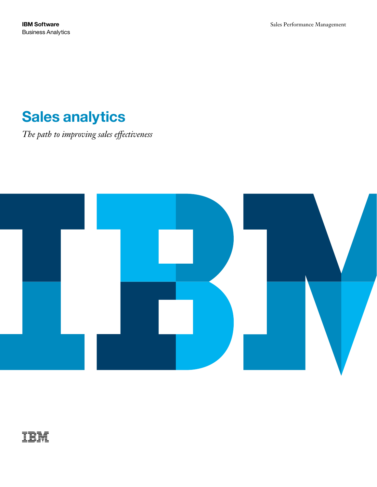# **Sales analytics**

*The path to improving sales effectiveness*



## 請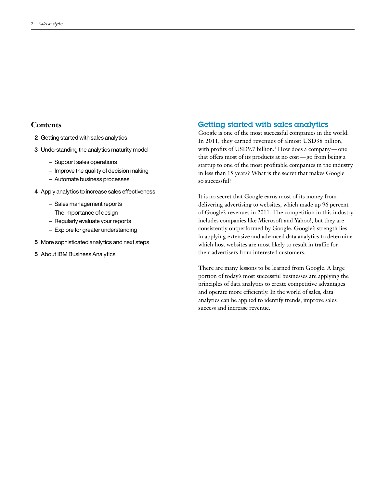## **Contents**

- **2** Getting started with sales analytics
- **3** Understanding the analytics maturity model
	- Support sales operations
	- Improve the quality of decision making
	- Automate business processes
- **4** Apply analytics to increase sales effectiveness
	- Sales management reports
	- The importance of design
	- Regularly evaluate your reports
	- Explore for greater understanding
- **5** More sophisticated analytics and next steps
- **5** About IBM Business Analytics

## Getting started with sales analytics

Google is one of the most successful companies in the world. In 2011, they earned revenues of almost USD38 billion, with profits of USD9.7 billion.<sup>1</sup> How does a company—one that offers most of its products at no cost—go from being a startup to one of the most profitable companies in the industry in less than 15 years? What is the secret that makes Google so successful?

It is no secret that Google earns most of its money from delivering advertising to websites, which made up 96 percent of Google's revenues in 2011. The competition in this industry includes companies like Microsoft and Yahoo!, but they are consistently outperformed by Google. Google's strength lies in applying extensive and advanced data analytics to determine which host websites are most likely to result in traffic for their advertisers from interested customers.

There are many lessons to be learned from Google. A large portion of today's most successful businesses are applying the principles of data analytics to create competitive advantages and operate more efficiently. In the world of sales, data analytics can be applied to identify trends, improve sales success and increase revenue.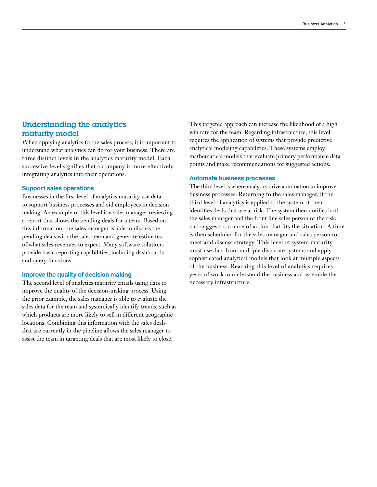## Understanding the analytics maturity model

When applying analytics to the sales process, it is important to understand what analytics can do for your business. There are three distinct levels in the analytics maturity model. Each successive level signifies that a company is more effectively integrating analytics into their operations.

#### **Support sales operations**

Businesses in the first level of analytics maturity use data to support business processes and aid employees in decision making. An example of this level is a sales manager reviewing a report that shows the pending deals for a team. Based on this information, the sales manager is able to discuss the pending deals with the sales team and generate estimates of what sales revenues to expect. Many software solutions provide basic reporting capabilities, including dashboards and query functions.

### **Improve the quality of decision making**

The second level of analytics maturity entails using data to improve the quality of the decision-making process. Using the prior example, the sales manager is able to evaluate the sales data for the team and systemically identify trends, such as which products are more likely to sell in different geographic locations. Combining this information with the sales deals that are currently in the pipeline allows the sales manager to assist the team in targeting deals that are most likely to close.

This targeted approach can increase the likelihood of a high win rate for the team. Regarding infrastructure, this level requires the application of systems that provide predictive analytical modeling capabilities. These systems employ mathematical models that evaluate primary performance data points and make recommendations for suggested actions.

#### **Automate business processes**

The third level is where analytics drive automation to improve business processes. Returning to the sales manager, if the third level of analytics is applied to the system, it then identifies deals that are at risk. The system then notifies both the sales manager and the front line sales person of the risk, and suggests a course of action that fits the situation. A time is then scheduled for the sales manager and sales person to meet and discuss strategy. This level of system maturity must use data from multiple disparate systems and apply sophisticated analytical models that look at multiple aspects of the business. Reaching this level of analytics requires years of work to understand the business and assemble the necessary infrastructure.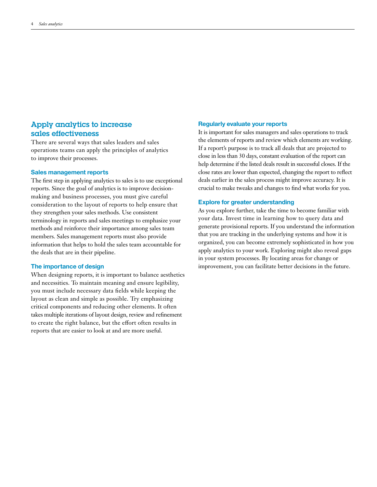## Apply analytics to increase sales effectiveness

There are several ways that sales leaders and sales operations teams can apply the principles of analytics to improve their processes.

#### **Sales management reports**

The first step in applying analytics to sales is to use exceptional reports. Since the goal of analytics is to improve decisionmaking and business processes, you must give careful consideration to the layout of reports to help ensure that they strengthen your sales methods. Use consistent terminology in reports and sales meetings to emphasize your methods and reinforce their importance among sales team members. Sales management reports must also provide information that helps to hold the sales team accountable for the deals that are in their pipeline.

#### **The importance of design**

When designing reports, it is important to balance aesthetics and necessities. To maintain meaning and ensure legibility, you must include necessary data fields while keeping the layout as clean and simple as possible. Try emphasizing critical components and reducing other elements. It often takes multiple iterations of layout design, review and refinement to create the right balance, but the effort often results in reports that are easier to look at and are more useful.

#### **Regularly evaluate your reports**

It is important for sales managers and sales operations to track the elements of reports and review which elements are working. If a report's purpose is to track all deals that are projected to close in less than 30 days, constant evaluation of the report can help determine if the listed deals result in successful closes. If the close rates are lower than expected, changing the report to reflect deals earlier in the sales process might improve accuracy. It is crucial to make tweaks and changes to find what works for you.

#### **Explore for greater understanding**

As you explore further, take the time to become familiar with your data. Invest time in learning how to query data and generate provisional reports. If you understand the information that you are tracking in the underlying systems and how it is organized, you can become extremely sophisticated in how you apply analytics to your work. Exploring might also reveal gaps in your system processes. By locating areas for change or improvement, you can facilitate better decisions in the future.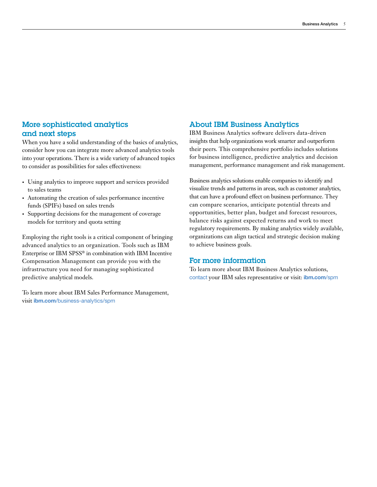## More sophisticated analytics and next steps

When you have a solid understanding of the basics of analytics, consider how you can integrate more advanced analytics tools into your operations. There is a wide variety of advanced topics to consider as possibilities for sales effectiveness:

- Using analytics to improve support and services provided to sales teams
- Automating the creation of sales performance incentive funds (SPIFs) based on sales trends
- Supporting decisions for the management of coverage models for territory and quota setting

Employing the right tools is a critical component of bringing advanced analytics to an organization. Tools such as IBM Enterprise or IBM SPSS® in combination with IBM Incentive Compensation Management can provide you with the infrastructure you need for managing sophisticated predictive analytical models.

To learn more about IBM Sales Performance Management, visit **ibm.com**[/business-analytics/spm](http://www.ibm.com/business-analytics/spm)

## About IBM Business Analytics

IBM Business Analytics software delivers data-driven insights that help organizations work smarter and outperform their peers. This comprehensive portfolio includes solutions for business intelligence, predictive analytics and decision management, performance management and risk management.

Business analytics solutions enable companies to identify and visualize trends and patterns in areas, such as customer analytics, that can have a profound effect on business performance. They can compare scenarios, anticipate potential threats and opportunities, better plan, budget and forecast resources, balance risks against expected returns and work to meet regulatory requirements. By making analytics widely available, organizations can align tactical and strategic decision making to achieve business goals.

## For more information

To learn more about IBM Business Analytics solutions, contact [your IBM sales representative](https://www.ibm.com/marketing/iwm/iwm/web/signup.do?source=swgmail-ba&S_TACT=101KR27W) or visit: **[ibm.com](http://www.ibm.com/analytics/us/en/business/sales-performance-management)**/spm